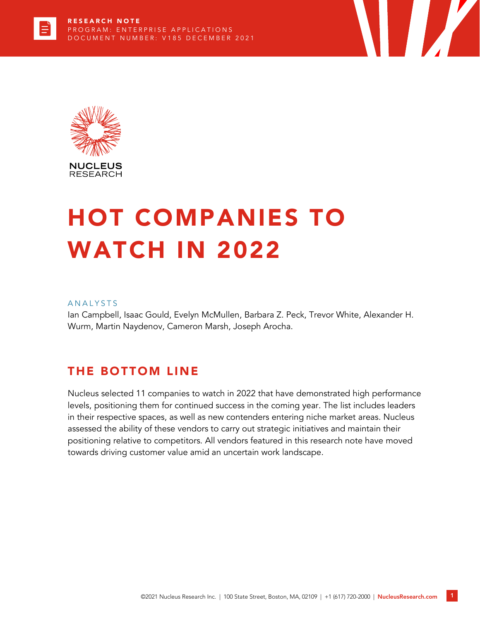



# HOT COMPANIES TO WATCH IN 2022

#### **ANALYSTS**

Ian Campbell, Isaac Gould, Evelyn McMullen, Barbara Z. Peck, Trevor White, Alexander H. Wurm, Martin Naydenov, Cameron Marsh, Joseph Arocha.

## THE BOTTOM LINE

Nucleus selected 11 companies to watch in 2022 that have demonstrated high performance levels, positioning them for continued success in the coming year. The list includes leaders in their respective spaces, as well as new contenders entering niche market areas. Nucleus assessed the ability of these vendors to carry out strategic initiatives and maintain their positioning relative to competitors. All vendors featured in this research note have moved towards driving customer value amid an uncertain work landscape.

**TANA**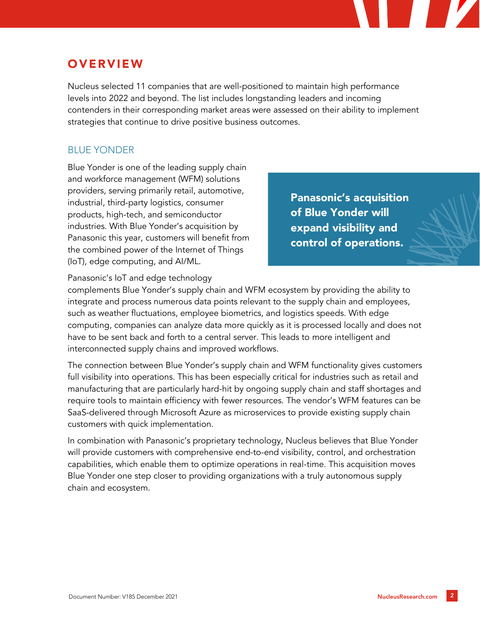# **OVERVIEW**

Nucleus selected 11 companies that are well-positioned to maintain high performance levels into 2022 and beyond. The list includes longstanding leaders and incoming contenders in their corresponding market areas were assessed on their ability to implement strategies that continue to drive positive business outcomes.

### BLUE YONDER

Blue Yonder is one of the leading supply chain and workforce management (WFM) solutions providers, serving primarily retail, automotive, industrial, third-party logistics, consumer products, high-tech, and semiconductor industries. With Blue Yonder's acquisition by Panasonic this year, customers will benefit from the combined power of the Internet of Things (IoT), edge computing, and AI/ML.

Panasonic's acquisition of Blue Yonder will expand visibility and control of operations.

Panasonic's IoT and edge technology

complements Blue Yonder's supply chain and WFM ecosystem by providing the ability to integrate and process numerous data points relevant to the supply chain and employees, such as weather fluctuations, employee biometrics, and logistics speeds. With edge computing, companies can analyze data more quickly as it is processed locally and does not have to be sent back and forth to a central server. This leads to more intelligent and interconnected supply chains and improved workflows.

The connection between Blue Yonder's supply chain and WFM functionality gives customers full visibility into operations. This has been especially critical for industries such as retail and manufacturing that are particularly hard-hit by ongoing supply chain and staff shortages and require tools to maintain efficiency with fewer resources. The vendor's WFM features can be SaaS-delivered through Microsoft Azure as microservices to provide existing supply chain customers with quick implementation.

In combination with Panasonic's proprietary technology, Nucleus believes that Blue Yonder will provide customers with comprehensive end-to-end visibility, control, and orchestration capabilities, which enable them to optimize operations in real-time. This acquisition moves Blue Yonder one step closer to providing organizations with a truly autonomous supply chain and ecosystem.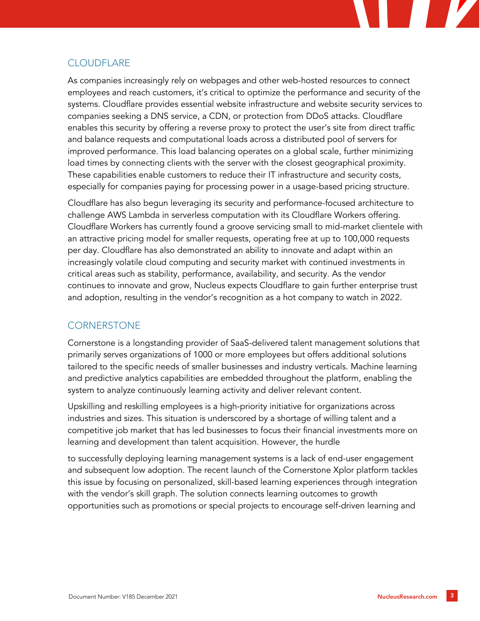#### **CLOUDFLARE**

As companies increasingly rely on webpages and other web-hosted resources to connect employees and reach customers, it's critical to optimize the performance and security of the systems. Cloudflare provides essential website infrastructure and website security services to companies seeking a DNS service, a CDN, or protection from DDoS attacks. Cloudflare enables this security by offering a reverse proxy to protect the user's site from direct traffic and balance requests and computational loads across a distributed pool of servers for improved performance. This load balancing operates on a global scale, further minimizing load times by connecting clients with the server with the closest geographical proximity. These capabilities enable customers to reduce their IT infrastructure and security costs, especially for companies paying for processing power in a usage-based pricing structure.

Cloudflare has also begun leveraging its security and performance-focused architecture to challenge AWS Lambda in serverless computation with its Cloudflare Workers offering. Cloudflare Workers has currently found a groove servicing small to mid-market clientele with an attractive pricing model for smaller requests, operating free at up to 100,000 requests per day. Cloudflare has also demonstrated an ability to innovate and adapt within an increasingly volatile cloud computing and security market with continued investments in critical areas such as stability, performance, availability, and security. As the vendor continues to innovate and grow, Nucleus expects Cloudflare to gain further enterprise trust and adoption, resulting in the vendor's recognition as a hot company to watch in 2022.

#### **CORNERSTONE**

Cornerstone is a longstanding provider of SaaS-delivered talent management solutions that primarily serves organizations of 1000 or more employees but offers additional solutions tailored to the specific needs of smaller businesses and industry verticals. Machine learning and predictive analytics capabilities are embedded throughout the platform, enabling the system to analyze continuously learning activity and deliver relevant content.

Upskilling and reskilling employees is a high-priority initiative for organizations across industries and sizes. This situation is underscored by a shortage of willing talent and a competitive job market that has led businesses to focus their financial investments more on learning and development than talent acquisition. However, the hurdle

to successfully deploying learning management systems is a lack of end-user engagement and subsequent low adoption. The recent launch of the Cornerstone Xplor platform tackles this issue by focusing on personalized, skill-based learning experiences through integration with the vendor's skill graph. The solution connects learning outcomes to growth opportunities such as promotions or special projects to encourage self-driven learning and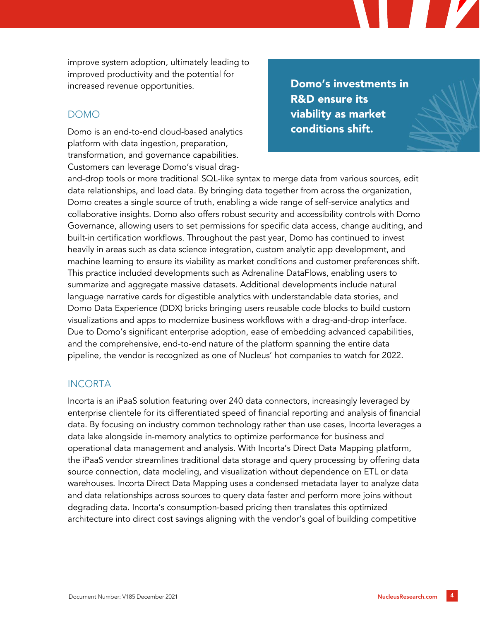improve system adoption, ultimately leading to improved productivity and the potential for increased revenue opportunities.

#### DOMO

Domo is an end-to-end cloud-based analytics platform with data ingestion, preparation, transformation, and governance capabilities. Customers can leverage Domo's visual drag-

Domo's investments in R&D ensure its viability as market conditions shift.

and-drop tools or more traditional SQL-like syntax to merge data from various sources, edit data relationships, and load data. By bringing data together from across the organization, Domo creates a single source of truth, enabling a wide range of self-service analytics and collaborative insights. Domo also offers robust security and accessibility controls with Domo Governance, allowing users to set permissions for specific data access, change auditing, and built-in certification workflows. Throughout the past year, Domo has continued to invest heavily in areas such as data science integration, custom analytic app development, and machine learning to ensure its viability as market conditions and customer preferences shift. This practice included developments such as Adrenaline DataFlows, enabling users to summarize and aggregate massive datasets. Additional developments include natural language narrative cards for digestible analytics with understandable data stories, and Domo Data Experience (DDX) bricks bringing users reusable code blocks to build custom visualizations and apps to modernize business workflows with a drag-and-drop interface. Due to Domo's significant enterprise adoption, ease of embedding advanced capabilities, and the comprehensive, end-to-end nature of the platform spanning the entire data pipeline, the vendor is recognized as one of Nucleus' hot companies to watch for 2022.

#### INCORTA

Incorta is an iPaaS solution featuring over 240 data connectors, increasingly leveraged by enterprise clientele for its differentiated speed of financial reporting and analysis of financial data. By focusing on industry common technology rather than use cases, Incorta leverages a data lake alongside in-memory analytics to optimize performance for business and operational data management and analysis. With Incorta's Direct Data Mapping platform, the iPaaS vendor streamlines traditional data storage and query processing by offering data source connection, data modeling, and visualization without dependence on ETL or data warehouses. Incorta Direct Data Mapping uses a condensed metadata layer to analyze data and data relationships across sources to query data faster and perform more joins without degrading data. Incorta's consumption-based pricing then translates this optimized architecture into direct cost savings aligning with the vendor's goal of building competitive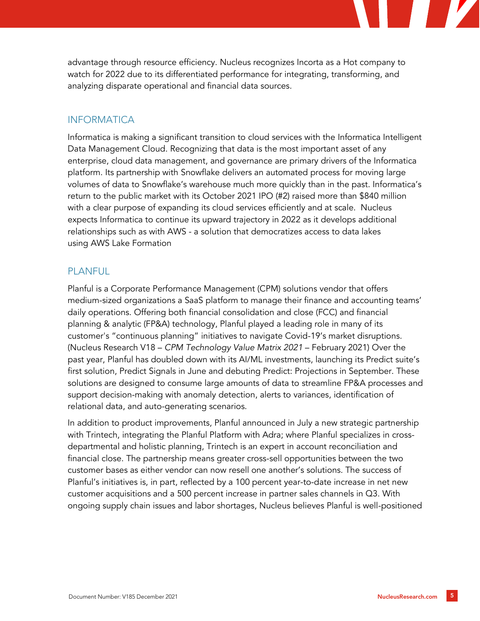advantage through resource efficiency. Nucleus recognizes Incorta as a Hot company to watch for 2022 due to its differentiated performance for integrating, transforming, and analyzing disparate operational and financial data sources.

#### **INFORMATICA**

Informatica is making a significant transition to cloud services with the Informatica Intelligent Data Management Cloud. Recognizing that data is the most important asset of any enterprise, cloud data management, and governance are primary drivers of the Informatica platform. Its partnership with Snowflake delivers an automated process for moving large volumes of data to Snowflake's warehouse much more quickly than in the past. Informatica's return to the public market with its October 2021 IPO (#2) raised more than \$840 million with a clear purpose of expanding its cloud services efficiently and at scale. Nucleus expects Informatica to continue its upward trajectory in 2022 as it develops additional relationships such as with AWS - a solution that democratizes access to data lakes using [AWS Lake F](https://c212.net/c/link/?t=0&l=en&o=3375658-1&h=3790799214&u=https%3A%2F%2Faws.amazon.com%2Flake-formation%2F%3Fwhats-new-cards.sort-by%3Ditem.additionalFields.postDateTime%26whats-new-cards.sort-order%3Ddesc%26awsm.page-whats-new-cards%3D3&a=AWS+Lake+Formation)ormation

#### PLANFUL.

Planful is a Corporate Performance Management (CPM) solutions vendor that offers medium-sized organizations a SaaS platform to manage their finance and accounting teams' daily operations. Offering both financial consolidation and close (FCC) and financial planning & analytic (FP&A) technology, Planful played a leading role in many of its customer's "continuous planning" initiatives to navigate Covid-19's market disruptions. (Nucleus Research V18 – *CPM Technology Value Matrix 2021* – February 2021) Over the past year, Planful has doubled down with its AI/ML investments, launching its Predict suite's first solution, Predict Signals in June and debuting Predict: Projections in September. These solutions are designed to consume large amounts of data to streamline FP&A processes and support decision-making with anomaly detection, alerts to variances, identification of relational data, and auto-generating scenarios.

In addition to product improvements, Planful announced in July a new strategic partnership with Trintech, integrating the Planful Platform with Adra; where Planful specializes in crossdepartmental and holistic planning, Trintech is an expert in account reconciliation and financial close. The partnership means greater cross-sell opportunities between the two customer bases as either vendor can now resell one another's solutions. The success of Planful's initiatives is, in part, reflected by a 100 percent year-to-date increase in net new customer acquisitions and a 500 percent increase in partner sales channels in Q3. With ongoing supply chain issues and labor shortages, Nucleus believes Planful is well-positioned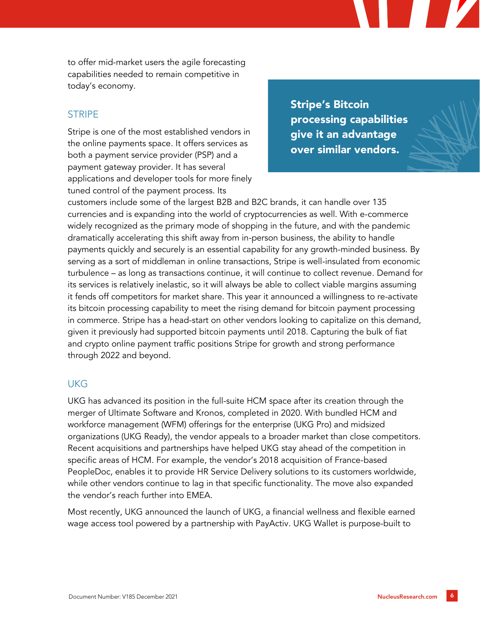to offer mid-market users the agile forecasting capabilities needed to remain competitive in today's economy.

#### STRIPE

Stripe is one of the most established vendors in the online payments space. It offers services as both a payment service provider (PSP) and a payment gateway provider. It has several applications and developer tools for more finely tuned control of the payment process. Its

Stripe's Bitcoin processing capabilities give it an advantage over similar vendors.

customers include some of the largest B2B and B2C brands, it can handle over 135 currencies and is expanding into the world of cryptocurrencies as well. With e-commerce widely recognized as the primary mode of shopping in the future, and with the pandemic dramatically accelerating this shift away from in-person business, the ability to handle payments quickly and securely is an essential capability for any growth-minded business. By serving as a sort of middleman in online transactions, Stripe is well-insulated from economic turbulence – as long as transactions continue, it will continue to collect revenue. Demand for its services is relatively inelastic, so it will always be able to collect viable margins assuming it fends off competitors for market share. This year it announced a willingness to re-activate its bitcoin processing capability to meet the rising demand for bitcoin payment processing in commerce. Stripe has a head-start on other vendors looking to capitalize on this demand, given it previously had supported bitcoin payments until 2018. Capturing the bulk of fiat and crypto online payment traffic positions Stripe for growth and strong performance through 2022 and beyond.

#### **UKG**

UKG has advanced its position in the full-suite HCM space after its creation through the merger of Ultimate Software and Kronos, completed in 2020. With bundled HCM and workforce management (WFM) offerings for the enterprise (UKG Pro) and midsized organizations (UKG Ready), the vendor appeals to a broader market than close competitors. Recent acquisitions and partnerships have helped UKG stay ahead of the competition in specific areas of HCM. For example, the vendor's 2018 acquisition of France-based PeopleDoc, enables it to provide HR Service Delivery solutions to its customers worldwide, while other vendors continue to lag in that specific functionality. The move also expanded the vendor's reach further into EMEA.

Most recently, UKG announced the launch of UKG, a financial wellness and flexible earned wage access tool powered by a partnership with PayActiv. UKG Wallet is purpose-built to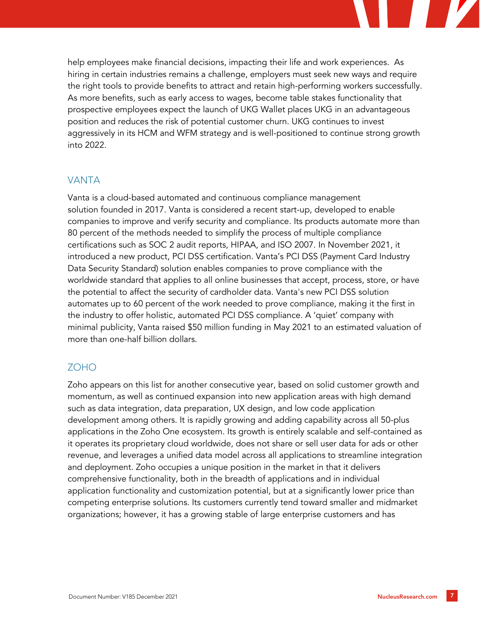

#### VANTA

Vanta is a cloud-based automated and continuous compliance management solution founded in 2017. Vanta is considered a recent start-up, developed to enable companies to improve and verify security and compliance. Its products automate more than 80 percent of the methods needed to simplify the process of multiple compliance certifications such as SOC 2 audit reports, HIPAA, and ISO 2007. In November 2021, it introduced a new product, PCI DSS certification. Vanta's PCI DSS [\(Payment Card Industry](https://c212.net/c/link/?t=0&l=en&o=3334570-1&h=1365080290&u=https%3A%2F%2Fwww.vanta.com%2Fproducts%2Fpci%2F%3Futm_source%3Dpress%26utm_medium%3Dprnewswire%26utm_campaign%3Dpcidsslaunch&a=Payment+Card+Industry+Data+Security+Standard)  [Data Security Standard\)](https://c212.net/c/link/?t=0&l=en&o=3334570-1&h=1365080290&u=https%3A%2F%2Fwww.vanta.com%2Fproducts%2Fpci%2F%3Futm_source%3Dpress%26utm_medium%3Dprnewswire%26utm_campaign%3Dpcidsslaunch&a=Payment+Card+Industry+Data+Security+Standard) solution enables companies to prove compliance with the worldwide standard that applies to all online businesses that accept, process, store, or have the potential to affect the security of cardholder data. Vanta's new PCI DSS solution automates up to 60 percent of the work needed to prove compliance, making it the first in the industry to offer holistic, automated PCI DSS compliance. A 'quiet' company with minimal publicity, Vanta raised \$50 million funding in May 2021 to an estimated valuation of more than one-half billion dollars.

#### ZOHO

Zoho appears on this list for another consecutive year, based on solid customer growth and momentum, as well as continued expansion into new application areas with high demand such as data integration, data preparation, UX design, and low code application development among others. It is rapidly growing and adding capability across all 50-plus applications in the Zoho One ecosystem. Its growth is entirely scalable and self-contained as it operates its proprietary cloud worldwide, does not share or sell user data for ads or other revenue, and leverages a unified data model across all applications to streamline integration and deployment. Zoho occupies a unique position in the market in that it delivers comprehensive functionality, both in the breadth of applications and in individual application functionality and customization potential, but at a significantly lower price than competing enterprise solutions. Its customers currently tend toward smaller and midmarket organizations; however, it has a growing stable of large enterprise customers and has